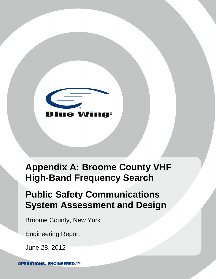

# **Appendix A: Broome County VHF High-Band Frequency Search**

# **Public Safety Communications System Assessment and Design**

Broome County, New York

Engineering Report

June 28, 2012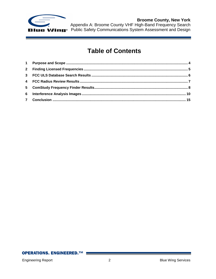

# **Table of Contents**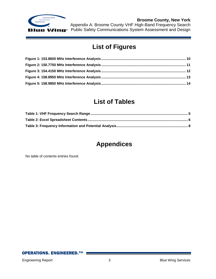

# **List of Figures**

# **List of Tables**

# **Appendices**

No table of contents entries found.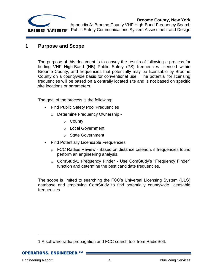

### <span id="page-3-0"></span>**1 Purpose and Scope**

The purpose of this document is to convey the results of following a process for finding VHF High-Band (HB) Public Safety (PS) frequencies licensed within Broome County, and frequencies that potentially may be licensable by Broome County on a countywide basis for conventional use. The potential for licensing frequencies will be based on a centrally located site and is not based on specific site locations or parameters.

The goal of the process is the following:

- Find Public Safety Pool Frequencies
	- o Determine Frequency Ownership
		- o County
		- o Local Government
		- o State Government
- Find Potentially Licensable Frequencies
	- o FCC Radius Review Based on distance criterion, if frequencies found perform an engineering analysis.
	- o ComStudy1 Frequency Finder Use ComStudy's "Frequency Finder" function and determine the best candidate frequencies.

The scope is limited to searching the FCC's Universal Licensing System (ULS) database and employing ComStudy to find potentially countywide licensable frequencies.

**OPERATIONS. ENGINEERED.™** 

 $\overline{a}$ 

<sup>1</sup> A software radio propagation and FCC search tool from RadioSoft.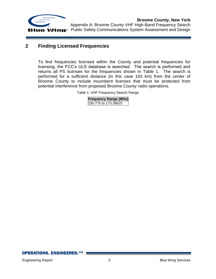

# <span id="page-4-0"></span>**2 Finding Licensed Frequencies**

<span id="page-4-1"></span>To find frequencies licensed within the County and potential frequencies for licensing, the FCC's ULS database is searched. The search is performed and returns all PS licenses for the frequencies shown in [Table 1.](#page-4-1) The search is performed for a sufficient distance (in this case 163 km) from the center of Broome County to include incumbent licenses that must be protected from potential interference from proposed Broome County radio operations.

Table 1: VHF Frequency Search Range

| <b>Frequency Range (MHz)</b> |
|------------------------------|
| 150.775 to 173.39625         |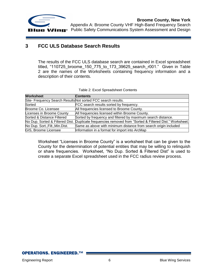

# <span id="page-5-0"></span>**3 FCC ULS Database Search Results**

The results of the FCC ULS database search are contained in Excel spreadsheet titled, "110725\_broome\_150\_775\_to\_173\_39625\_search\_r001." Given in [Table](#page-5-1)  [2](#page-5-1) are the names of the Worksheets containing frequency information and a description of their contents.

<span id="page-5-1"></span>

| <b>Worksheet</b>                                              | <b>Contents</b>                                                         |  |  |
|---------------------------------------------------------------|-------------------------------------------------------------------------|--|--|
| Site- Frequency Search Results Not sorted FCC search results. |                                                                         |  |  |
| Sorted                                                        | FCC search results sorted by frequency.                                 |  |  |
| Broome Co. Licensee                                           | All frequencies licensed to Broome County.                              |  |  |
| Licenses in Broome County                                     | All frequencies licensed within Broome County.                          |  |  |
| Sorted & Distance Filtered                                    | Sorted by frequency and filtered by maximum search distance.            |  |  |
| No Dup. Sorted & Filtered Dist.                               | Duplicate frequencies removed from "Sorted & Filtered Dist." Worksheet. |  |  |
| No Dup. Sort., Filt., Min. Dist.                              | Same as above with minimum distance from search origin included         |  |  |
| GIS, Broome Licensee                                          | Information in a format for import into ArcMap                          |  |  |

Worksheet "Licenses in Broome County" is a worksheet that can be given to the County for the determination of potential entities that may be willing to relinquish or share frequencies. Worksheet, "No Dup. Sorted & Filtered Dist" is used to create a separate Excel spreadsheet used in the FCC radius review process.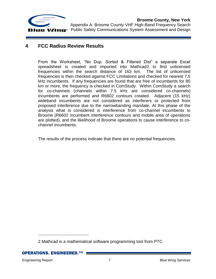

# <span id="page-6-0"></span>**4 FCC Radius Review Results**

From the Worksheet, "No Dup. Sorted & Filtered Dist" a separate Excel spreadsheet is created and imported into Mathcad2 to find unlicensed frequencies within the search distance of 163 km. The list of unlicensed frequencies is then checked against FCC Limitations and checked for nearest 7.5 kHz incumbents. If any frequencies are found that are free of incumbents for 80 km or more, the frequency is checked in ComStudy. Within ComStudy a search for co-channels (channels within 7.5 kHz are considered co-channels) incumbents are performed and R6602 contours created. Adjacent (15 kHz) wideband incumbents are not considered as interferers or protected from proposed interference due to the narrowbanding mandate. At this phase of the analysis what is considered is interference from co-channel incumbents to Broome (R6602 incumbent interference contours and mobile area of operations are plotted), and the likelihood of Broome operations to cause interference to cochannel incumbents.

The results of the process indicate that there are no potential frequencies.

 $\overline{a}$ 

<sup>2</sup> Mathcad is a mathematical software programming tool from PTC.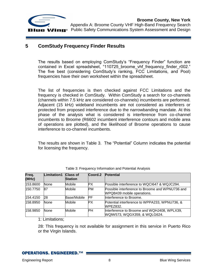

## <span id="page-7-0"></span>**5 ComStudy Frequency Finder Results**

The results based on employing ComStudy's "Frequency Finder" function are contained in Excel spreadsheet, "110725 broome vhf frequency finder r002." The five best (considering ComStudy's ranking, FCC Limitations, and Pool) frequencies have their own worksheet within the spreadsheet.

The list of frequencies is then checked against FCC Limitations and the frequency is checked in ComStudy. Within ComStudy a search for co-channels (channels within 7.5 kHz are considered co-channels) incumbents are performed. Adjacent (15 kHz) wideband incumbents are not considered as interferers or protected from proposed interference due to the narrowbanding mandate. At this phase of the analysis what is considered is interference from co-channel incumbents to Broome (R6602 incumbent interference contours and mobile area of operations are plotted), and the likelihood of Broome operations to cause interference to co-channel incumbents.

The results are shown in [Table 3.](#page-7-1) The "Potential" Column indicates the potential for licensing the frequency.

<span id="page-7-1"></span>

| Freq.<br>(MHz) | Limitation1 | Class of<br><b>Station</b> | Coord.2   | <b>Potential</b>                                                              |
|----------------|-------------|----------------------------|-----------|-------------------------------------------------------------------------------|
| 153.8600       | None        | Mobile                     | PХ        | Possible interference to WQCI647 & WQJC294.                                   |
| 150.7750       | 87          | Mobile                     | <b>PM</b> | Possible interference to Broome and WPNU736 and<br>WPQB439 mobile operations. |
| 154.4150       | 28          | Base/Mobile                | <b>PF</b> | Interference to Broome.                                                       |
| 158.8950       | None        | Mobile                     | PХ        | Potential interference to WPPA233, WPNU736, &<br><b>WPEZ832.</b>              |
| 158.9850       | <b>None</b> | Mobile                     | PН        | Interference to Broome and WQHJ408, WPLX39,<br>WQIW573, WQGX359, & WQLG624.   |

1: Limitations;

28: This frequency is not available for assignment in this service in Puerto Rico or the Virgin Islands.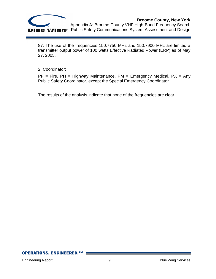

87: The use of the frequencies 150.7750 MHz and 150.7900 MHz are limited a transmitter output power of 100 watts Effective Radiated Power (ERP) as of May 27, 2005.

2: Coordinator;

 $PF = Fire$ ,  $PH = Highway$  Maintenance,  $PM = Energy$  Medical,  $PX = Any$ Public Safety Coordinator, except the Special Emergency Coordinator.

The results of the analysis indicate that none of the frequencies are clear.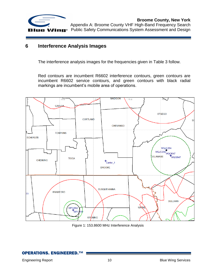

### <span id="page-9-0"></span>**6 Interference Analysis Images**

The interference analysis images for the frequencies given in [Table 3](#page-7-1) follow.

Red contours are incumbent R6602 interference contours, green contours are incumbent R6602 service contours, and green contours with black radial markings are incumbent's mobile area of operations.



Figure 1: 153.8600 MHz Interference Analysis

<span id="page-9-1"></span>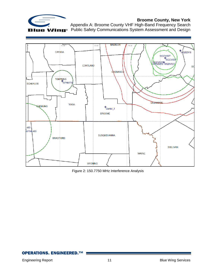

Appendix A: Broome County VHF High-Band Frequency Search Public Safety Communications System Assessment and Design



<span id="page-10-0"></span>Figure 2: 150.7750 MHz Interference Analysis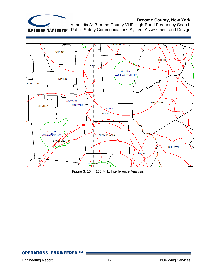

Appendix A: Broome County VHF High-Band Frequency Search Public Safety Communications System Assessment and Design



<span id="page-11-0"></span>Figure 3: 154.4150 MHz Interference Analysis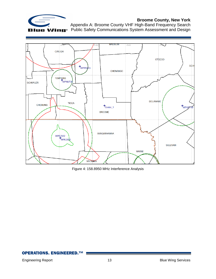

Appendix A: Broome County VHF High-Band Frequency Search Public Safety Communications System Assessment and Design



<span id="page-12-0"></span>Figure 4: 158.8950 MHz Interference Analysis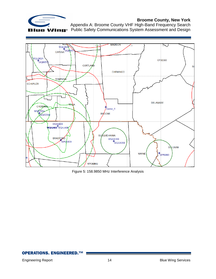

Appendix A: Broome County VHF High-Band Frequency Search Public Safety Communications System Assessment and Design



<span id="page-13-0"></span>Figure 5: 158.9850 MHz Interference Analysis